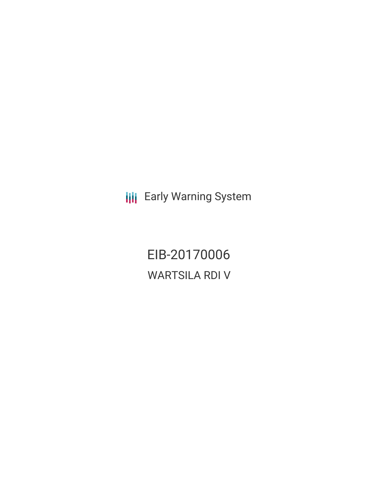**III** Early Warning System

EIB-20170006 WARTSILA RDI V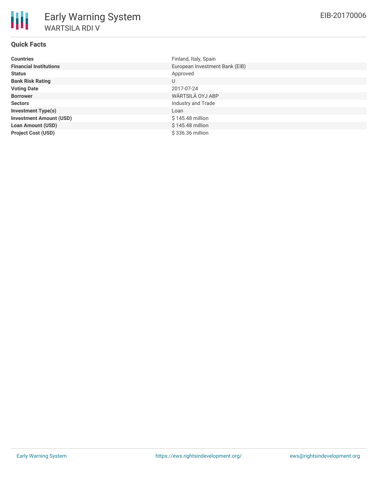# **Quick Facts**

| <b>Countries</b>               | Finland, Italy, Spain          |
|--------------------------------|--------------------------------|
| <b>Financial Institutions</b>  | European Investment Bank (EIB) |
| <b>Status</b>                  | Approved                       |
| <b>Bank Risk Rating</b>        | U                              |
| <b>Voting Date</b>             | 2017-07-24                     |
| <b>Borrower</b>                | WÄRTSILÄ OYJ ABP               |
| <b>Sectors</b>                 | Industry and Trade             |
| <b>Investment Type(s)</b>      | Loan                           |
| <b>Investment Amount (USD)</b> | \$145.48 million               |
| <b>Loan Amount (USD)</b>       | $$145.48$ million              |
| <b>Project Cost (USD)</b>      | \$336.36 million               |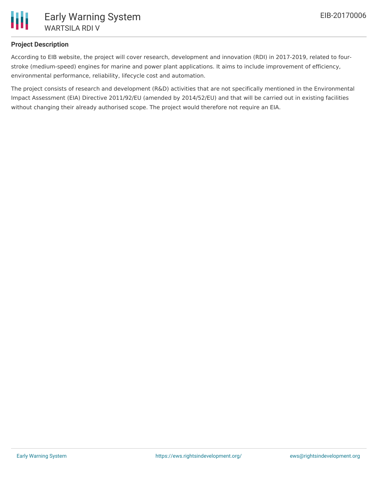

## **Project Description**

According to EIB website, the project will cover research, development and innovation (RDI) in 2017-2019, related to fourstroke (medium-speed) engines for marine and power plant applications. It aims to include improvement of efficiency, environmental performance, reliability, lifecycle cost and automation.

The project consists of research and development (R&D) activities that are not specifically mentioned in the Environmental Impact Assessment (EIA) Directive 2011/92/EU (amended by 2014/52/EU) and that will be carried out in existing facilities without changing their already authorised scope. The project would therefore not require an EIA.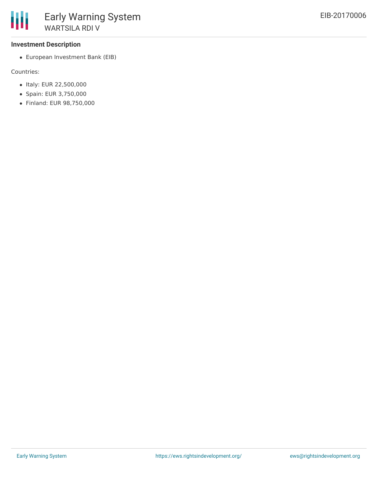### **Investment Description**

European Investment Bank (EIB)

Countries:

- Italy: EUR 22,500,000
- Spain: EUR 3,750,000
- Finland: EUR 98,750,000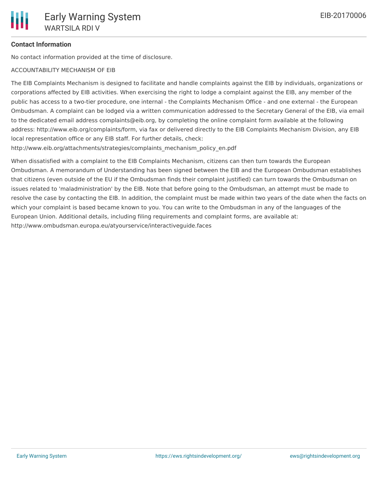## **Contact Information**

No contact information provided at the time of disclosure.

#### ACCOUNTABILITY MECHANISM OF EIB

The EIB Complaints Mechanism is designed to facilitate and handle complaints against the EIB by individuals, organizations or corporations affected by EIB activities. When exercising the right to lodge a complaint against the EIB, any member of the public has access to a two-tier procedure, one internal - the Complaints Mechanism Office - and one external - the European Ombudsman. A complaint can be lodged via a written communication addressed to the Secretary General of the EIB, via email to the dedicated email address complaints@eib.org, by completing the online complaint form available at the following address: http://www.eib.org/complaints/form, via fax or delivered directly to the EIB Complaints Mechanism Division, any EIB local representation office or any EIB staff. For further details, check:

http://www.eib.org/attachments/strategies/complaints\_mechanism\_policy\_en.pdf

When dissatisfied with a complaint to the EIB Complaints Mechanism, citizens can then turn towards the European Ombudsman. A memorandum of Understanding has been signed between the EIB and the European Ombudsman establishes that citizens (even outside of the EU if the Ombudsman finds their complaint justified) can turn towards the Ombudsman on issues related to 'maladministration' by the EIB. Note that before going to the Ombudsman, an attempt must be made to resolve the case by contacting the EIB. In addition, the complaint must be made within two years of the date when the facts on which your complaint is based became known to you. You can write to the Ombudsman in any of the languages of the European Union. Additional details, including filing requirements and complaint forms, are available at: http://www.ombudsman.europa.eu/atyourservice/interactiveguide.faces